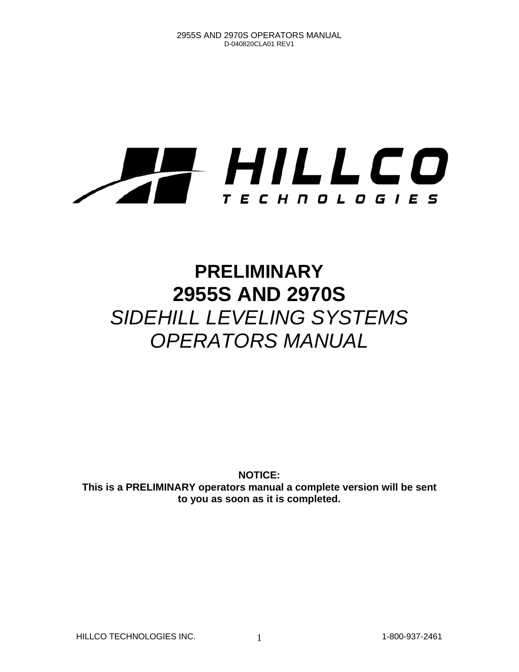# HILLCO T E C H N O L O G I E S

# **PRELIMINARY 2955S AND 2970S**  *SIDEHILL LEVELING SYSTEMS OPERATORS MANUAL*

**NOTICE: This is a PRELIMINARY operators manual a complete version will be sent to you as soon as it is completed.** 

HILLCO TECHNOLOGIES INC. 1 1-800-937-2461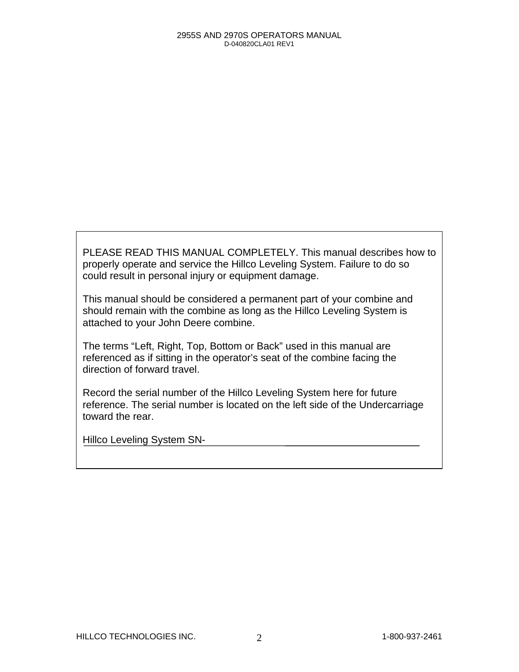PLEASE READ THIS MANUAL COMPLETELY. This manual describes how to properly operate and service the Hillco Leveling System. Failure to do so could result in personal injury or equipment damage.

This manual should be considered a permanent part of your combine and should remain with the combine as long as the Hillco Leveling System is attached to your John Deere combine.

The terms "Left, Right, Top, Bottom or Back" used in this manual are referenced as if sitting in the operator's seat of the combine facing the direction of forward travel.

Record the serial number of the Hillco Leveling System here for future reference. The serial number is located on the left side of the Undercarriage toward the rear.

Hillco Leveling System SN-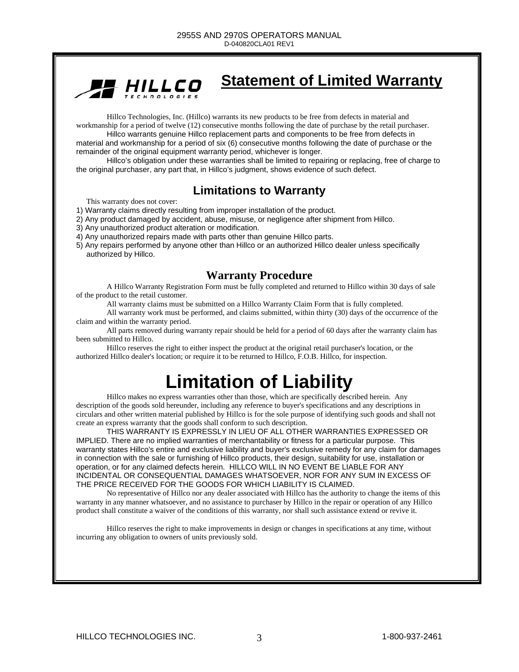

### **Statement of Limited Warranty**

Hillco Technologies, Inc. (Hillco) warrants its new products to be free from defects in material and workmanship for a period of twelve (12) consecutive months following the date of purchase by the retail purchaser.

 Hillco warrants genuine Hillco replacement parts and components to be free from defects in material and workmanship for a period of six (6) consecutive months following the date of purchase or the remainder of the original equipment warranty period, whichever is longer.

Hillco's obligation under these warranties shall be limited to repairing or replacing, free of charge to the original purchaser, any part that, in Hillco's judgment, shows evidence of such defect.

### **Limitations to Warranty**

This warranty does not cover:

- 1) Warranty claims directly resulting from improper installation of the product.
- 2) Any product damaged by accident, abuse, misuse, or negligence after shipment from Hillco.
- 3) Any unauthorized product alteration or modification.
- 4) Any unauthorized repairs made with parts other than genuine Hillco parts.
- 5) Any repairs performed by anyone other than Hillco or an authorized Hillco dealer unless specifically authorized by Hillco.

#### **Warranty Procedure**

A Hillco Warranty Registration Form must be fully completed and returned to Hillco within 30 days of sale of the product to the retail customer.

All warranty claims must be submitted on a Hillco Warranty Claim Form that is fully completed.

All warranty work must be performed, and claims submitted, within thirty (30) days of the occurrence of the claim and within the warranty period.

All parts removed during warranty repair should be held for a period of 60 days after the warranty claim has been submitted to Hillco.

Hillco reserves the right to either inspect the product at the original retail purchaser's location, or the authorized Hillco dealer's location; or require it to be returned to Hillco, F.O.B. Hillco, for inspection.

# **Limitation of Liability**

Hillco makes no express warranties other than those, which are specifically described herein. Any description of the goods sold hereunder, including any reference to buyer's specifications and any descriptions in circulars and other written material published by Hillco is for the sole purpose of identifying such goods and shall not create an express warranty that the goods shall conform to such description.

 THIS WARRANTY IS EXPRESSLY IN LIEU OF ALL OTHER WARRANTIES EXPRESSED OR IMPLIED. There are no implied warranties of merchantability or fitness for a particular purpose. This warranty states Hillco's entire and exclusive liability and buyer's exclusive remedy for any claim for damages in connection with the sale or furnishing of Hillco products, their design, suitability for use, installation or operation, or for any claimed defects herein. HILLCO WILL IN NO EVENT BE LIABLE FOR ANY INCIDENTAL OR CONSEQUENTIAL DAMAGES WHATSOEVER, NOR FOR ANY SUM IN EXCESS OF THE PRICE RECEIVED FOR THE GOODS FOR WHICH LIABILITY IS CLAIMED.

 No representative of Hillco nor any dealer associated with Hillco has the authority to change the items of this warranty in any manner whatsoever, and no assistance to purchaser by Hillco in the repair or operation of any Hillco product shall constitute a waiver of the conditions of this warranty, nor shall such assistance extend or revive it.

Hillco reserves the right to make improvements in design or changes in specifications at any time, without incurring any obligation to owners of units previously sold.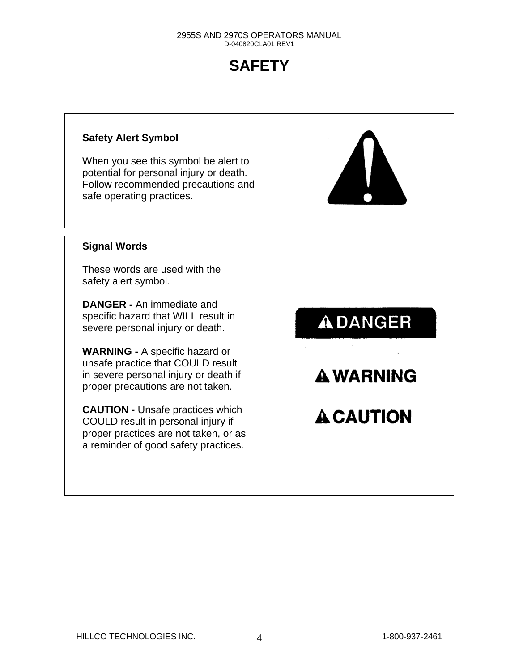# **SAFETY**

#### **Safety Alert Symbol**

When you see this symbol be alert to potential for personal injury or death. Follow recommended precautions and safe operating practices.



#### **Signal Words**

These words are used with the safety alert symbol.

**DANGER -** An immediate and specific hazard that WILL result in severe personal injury or death.

**WARNING -** A specific hazard or unsafe practice that COULD result in severe personal injury or death if proper precautions are not taken.

**CAUTION -** Unsafe practices which COULD result in personal injury if proper practices are not taken, or as a reminder of good safety practices.

**ADANGER** 

**A WARNING** 

**A CAUTION**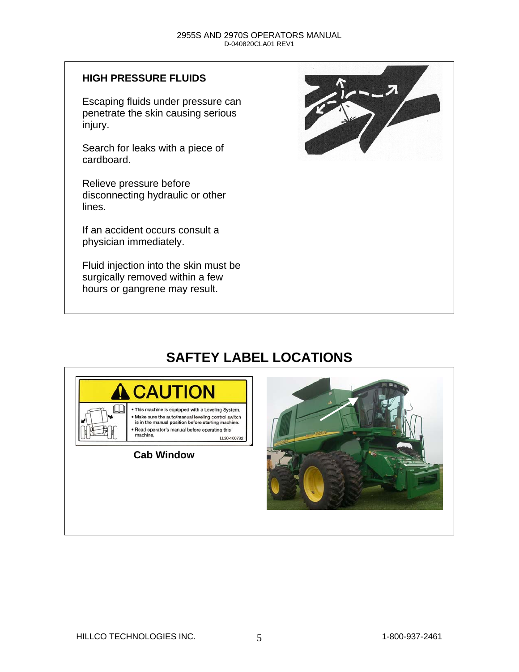#### **HIGH PRESSURE FLUIDS**

Escaping fluids under pressure can penetrate the skin causing serious injury.

Search for leaks with a piece of cardboard.

Relieve pressure before disconnecting hydraulic or other lines.

If an accident occurs consult a physician immediately.

Fluid injection into the skin must be surgically removed within a few hours or gangrene may result.



## **SAFTEY LABEL LOCATIONS**



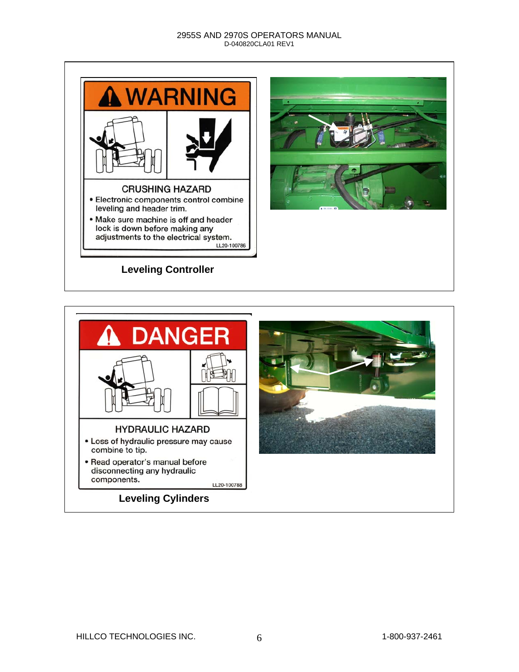

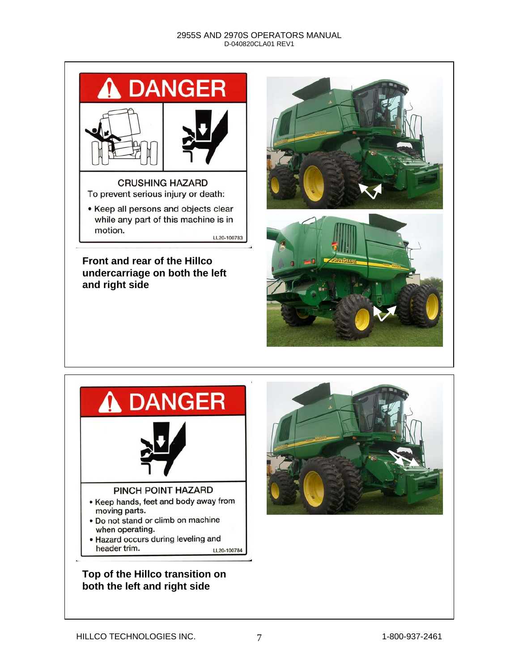

#### **Front and rear of the Hillco undercarriage on both the left and right side**







### **Top of the Hillco transition on both the left and right side**

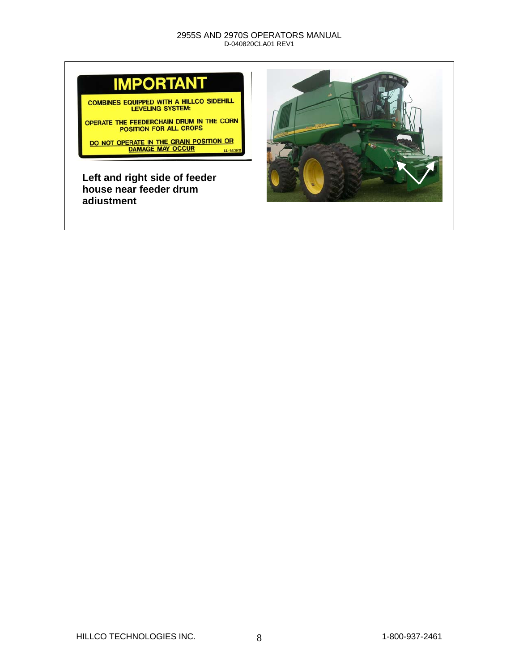

COMBINES EQUIPPED WITH A HILLCO SIDEHILL<br>LEVELING SYSTEM:

OPERATE THE FEEDERCHAIN DRUM IN THE CORN POSITION FOR ALL CROPS

DO NOT OPERATE IN THE GRAIN POSITION OR<br>DAMAGE MAY OCCUR LL-14081

**Left and right side of feeder house near feeder drum adjustment**

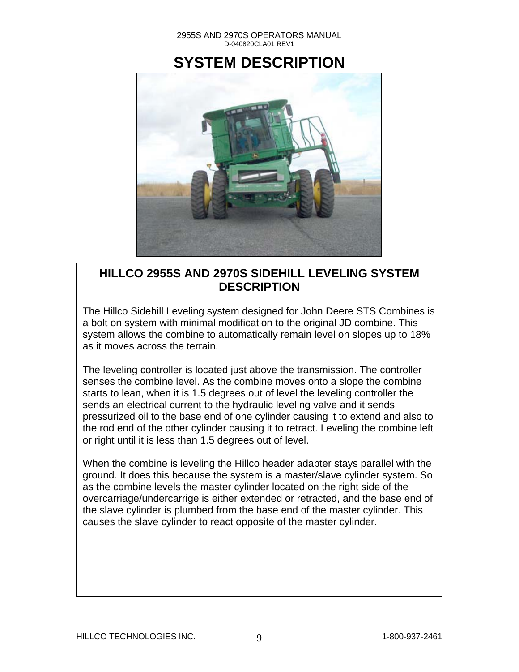### **SYSTEM DESCRIPTION**



### **HILLCO 2955S AND 2970S SIDEHILL LEVELING SYSTEM DESCRIPTION**

The Hillco Sidehill Leveling system designed for John Deere STS Combines is a bolt on system with minimal modification to the original JD combine. This system allows the combine to automatically remain level on slopes up to 18% as it moves across the terrain.

The leveling controller is located just above the transmission. The controller senses the combine level. As the combine moves onto a slope the combine starts to lean, when it is 1.5 degrees out of level the leveling controller the sends an electrical current to the hydraulic leveling valve and it sends pressurized oil to the base end of one cylinder causing it to extend and also to the rod end of the other cylinder causing it to retract. Leveling the combine left or right until it is less than 1.5 degrees out of level.

When the combine is leveling the Hillco header adapter stays parallel with the ground. It does this because the system is a master/slave cylinder system. So as the combine levels the master cylinder located on the right side of the overcarriage/undercarrige is either extended or retracted, and the base end of the slave cylinder is plumbed from the base end of the master cylinder. This causes the slave cylinder to react opposite of the master cylinder.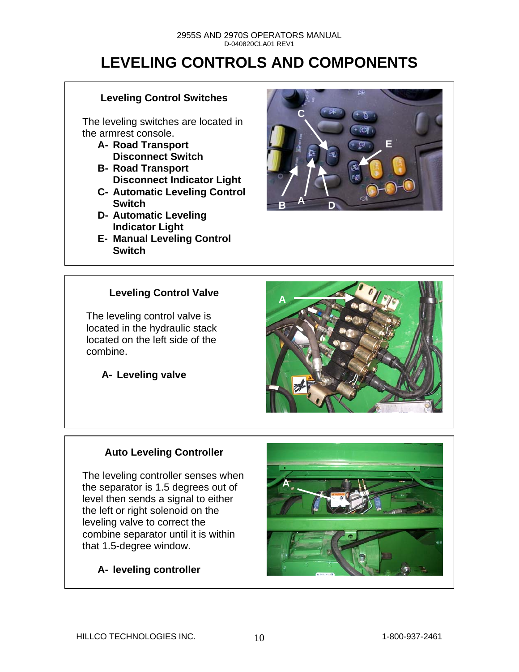# **LEVELING CONTROLS AND COMPONENTS**

#### **Leveling Control Switches**

The leveling switches are located in the armrest console.

- **A- Road Transport Disconnect Switch**
- **B- Road Transport Disconnect Indicator Light**
- **C- Automatic Leveling Control Switch**
- **D- Automatic Leveling Indicator Light**
- **E- Manual Leveling Control Switch**



### **Leveling Control Valve**

The leveling control valve is located in the hydraulic stack located on the left side of the combine.

**A- Leveling valve** 



### **Auto Leveling Controller**

The leveling controller senses when the separator is 1.5 degrees out of level then sends a signal to either the left or right solenoid on the leveling valve to correct the combine separator until it is within that 1.5-degree window.

### **A- leveling controller**

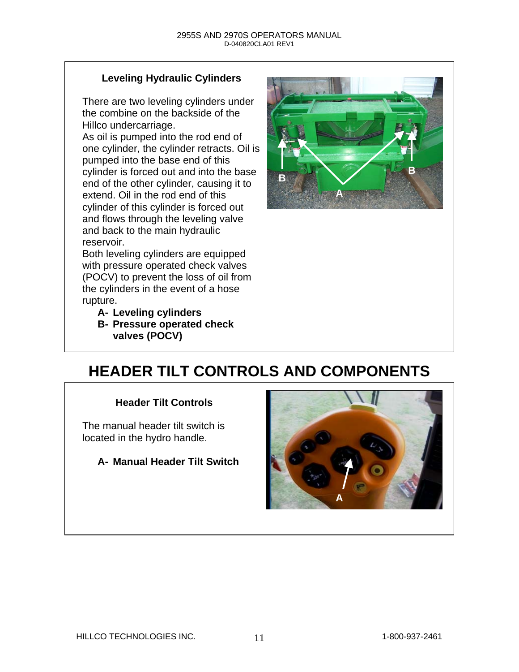### **Leveling Hydraulic Cylinders**

There are two leveling cylinders under the combine on the backside of the Hillco undercarriage.

As oil is pumped into the rod end of one cylinder, the cylinder retracts. Oil is pumped into the base end of this cylinder is forced out and into the base end of the other cylinder, causing it to extend. Oil in the rod end of this cylinder of this cylinder is forced out and flows through the leveling valve and back to the main hydraulic reservoir.

Both leveling cylinders are equipped with pressure operated check valves (POCV) to prevent the loss of oil from the cylinders in the event of a hose rupture.

**A- Leveling cylinders** 

**B- Pressure operated check valves (POCV)** 



# **HEADER TILT CONTROLS AND COMPONENTS**

#### **Header Tilt Controls**

The manual header tilt switch is located in the hydro handle.

**A- Manual Header Tilt Switch**

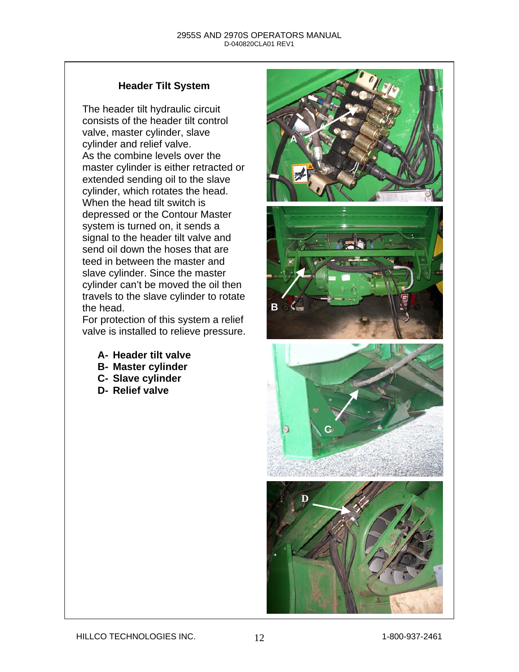#### **Header Tilt System**

The header tilt hydraulic circuit consists of the header tilt control valve, master cylinder, slave cylinder and relief valve. As the combine levels over the master cylinder is either retracted or extended sending oil to the slave cylinder, which rotates the head. When the head tilt switch is depressed or the Contour Master system is turned on, it sends a signal to the header tilt valve and send oil down the hoses that are teed in between the master and slave cylinder. Since the master cylinder can't be moved the oil then travels to the slave cylinder to rotate the head.

For protection of this system a relief valve is installed to relieve pressure.

- **A- Header tilt valve**
- **B- Master cylinder**
- **C- Slave cylinder**
- **D- Relief valve**

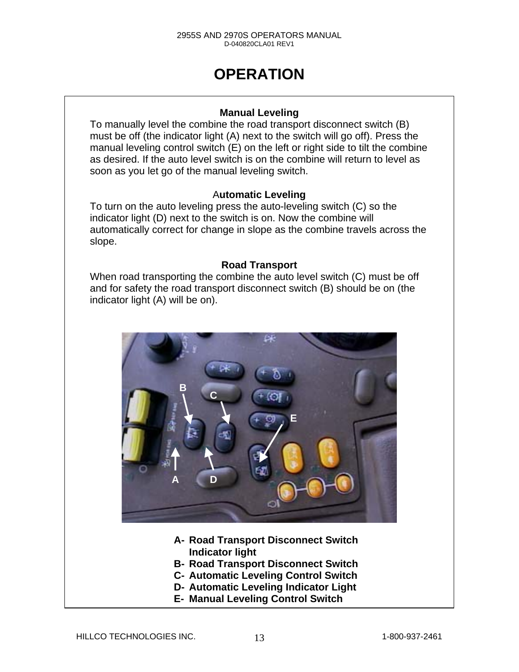# **OPERATION**

#### **Manual Leveling**

**A** 

To manually level the combine the road transport disconnect switch (B) must be off (the indicator light (A) next to the switch will go off). Press the manual leveling control switch (E) on the left or right side to tilt the combine as desired. If the auto level switch is on the combine will return to level as soon as you let go of the manual leveling switch.

#### A**utomatic Leveling**

To turn on the auto leveling press the auto-leveling switch (C) so the indicator light (D) next to the switch is on. Now the combine will automatically correct for change in slope as the combine travels across the slope.

#### **Road Transport**

When road transporting the combine the auto level switch (C) must be off and for safety the road transport disconnect switch (B) should be on (the indicator light (A) will be on).



- **A- Road Transport Disconnect Switch Indicator light**
- **B- Road Transport Disconnect Switch**
- **C- Automatic Leveling Control Switch**
- **D- Automatic Leveling Indicator Light**
- **E- Manual Leveling Control Switch**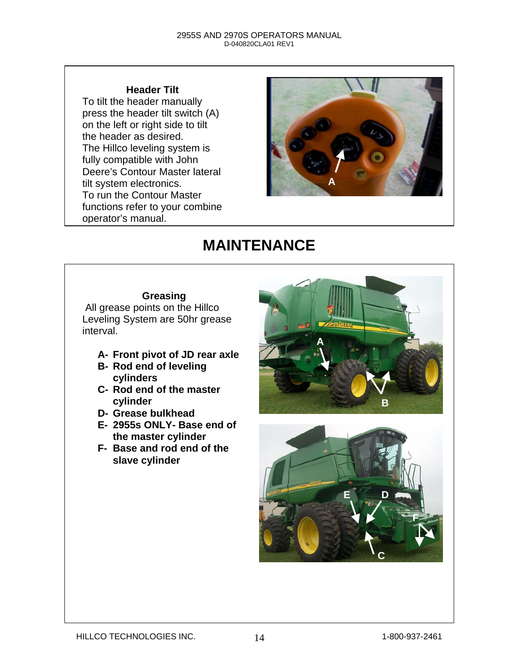#### **Header Tilt**

To tilt the header manually press the header tilt switch (A) on the left or right side to tilt the header as desired. The Hillco leveling system is fully compatible with John Deere's Contour Master lateral tilt system electronics. To run the Contour Master functions refer to your combine operator's manual.



# **MAINTENANCE**

#### **Greasing**

 All grease points on the Hillco Leveling System are 50hr grease interval.

- **A- Front pivot of JD rear axle**
- **B- Rod end of leveling cylinders**
- **C- Rod end of the master cylinder**
- **D- Grease bulkhead**
- **E- 2955s ONLY- Base end of the master cylinder**
- **F- Base and rod end of the slave cylinder**